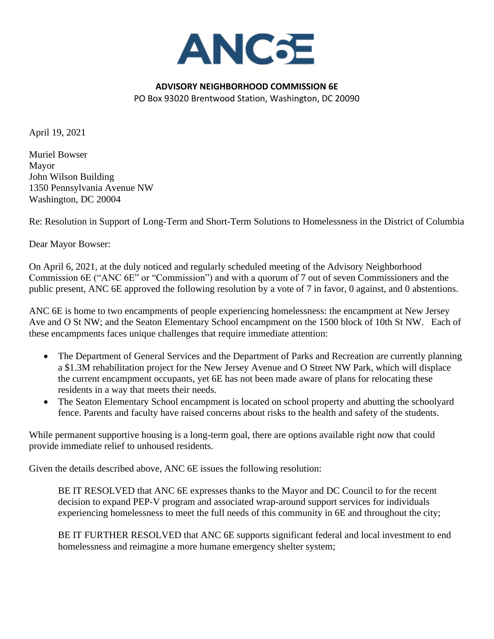

## **ADVISORY NEIGHBORHOOD COMMISSION 6E** PO Box 93020 Brentwood Station, Washington, DC 20090

April 19, 2021

Muriel Bowser Mayor John Wilson Building 1350 Pennsylvania Avenue NW Washington, DC 20004

Re: Resolution in Support of Long-Term and Short-Term Solutions to Homelessness in the District of Columbia

Dear Mayor Bowser:

On April 6, 2021, at the duly noticed and regularly scheduled meeting of the Advisory Neighborhood Commission 6E ("ANC 6E" or "Commission") and with a quorum of 7 out of seven Commissioners and the public present, ANC 6E approved the following resolution by a vote of 7 in favor, 0 against, and 0 abstentions.

ANC 6E is home to two encampments of people experiencing homelessness: the encampment at New Jersey Ave and O St NW; and the Seaton Elementary School encampment on the 1500 block of 10th St NW. Each of these encampments faces unique challenges that require immediate attention:

- The Department of General Services and the Department of Parks and Recreation are currently planning a \$1.3M rehabilitation project for the New Jersey Avenue and O Street NW Park, which will displace the current encampment occupants, yet 6E has not been made aware of plans for relocating these residents in a way that meets their needs.
- The Seaton Elementary School encampment is located on school property and abutting the schoolyard fence. Parents and faculty have raised concerns about risks to the health and safety of the students.

While permanent supportive housing is a long-term goal, there are options available right now that could provide immediate relief to unhoused residents.

Given the details described above, ANC 6E issues the following resolution:

BE IT RESOLVED that ANC 6E expresses thanks to the Mayor and DC Council to for the recent decision to expand PEP-V program and associated wrap-around support services for individuals experiencing homelessness to meet the full needs of this community in 6E and throughout the city;

BE IT FURTHER RESOLVED that ANC 6E supports significant federal and local investment to end homelessness and reimagine a more humane emergency shelter system;